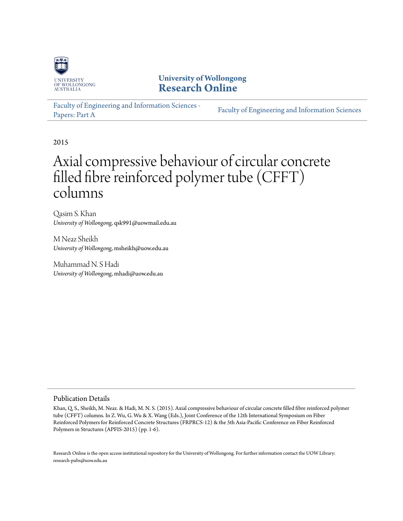

**University of Wollongong [Research Online](http://ro.uow.edu.au)**

[Faculty of Engineering and Information Sciences -](http://ro.uow.edu.au/eispapers) [Papers: Part A](http://ro.uow.edu.au/eispapers) [Faculty of Engineering and Information Sciences](http://ro.uow.edu.au/eis)

2015

# Axial compressive behaviour of circular concrete filled fibre reinforced polymer tube (CFFT) columns

Qasim S. Khan *University of Wollongong*, qsk991@uowmail.edu.au

M Neaz Sheikh *University of Wollongong*, msheikh@uow.edu.au

Muhammad N. S Hadi *University of Wollongong*, mhadi@uow.edu.au

# Publication Details

Khan, Q. S., Sheikh, M. Neaz. & Hadi, M. N. S. (2015). Axial compressive behaviour of circular concrete filled fibre reinforced polymer tube (CFFT) columns. In Z. Wu, G. Wu & X. Wang (Eds.), Joint Conference of the 12th International Symposium on Fiber Reinforced Polymers for Reinforced Concrete Structures (FRPRCS-12) & the 5th Asia-Pacific Conference on Fiber Reinforced Polymers in Structures (APFIS-2015) (pp. 1-6).

Research Online is the open access institutional repository for the University of Wollongong. For further information contact the UOW Library: research-pubs@uow.edu.au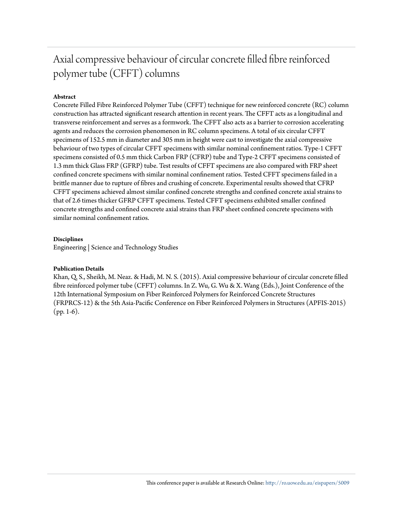# Axial compressive behaviour of circular concrete filled fibre reinforced polymer tube (CFFT) columns

# **Abstract**

Concrete Filled Fibre Reinforced Polymer Tube (CFFT) technique for new reinforced concrete (RC) column construction has attracted significant research attention in recent years. The CFFT acts as a longitudinal and transverse reinforcement and serves as a formwork. The CFFT also acts as a barrier to corrosion accelerating agents and reduces the corrosion phenomenon in RC column specimens. A total of six circular CFFT specimens of 152.5 mm in diameter and 305 mm in height were cast to investigate the axial compressive behaviour of two types of circular CFFT specimens with similar nominal confinement ratios. Type-1 CFFT specimens consisted of 0.5 mm thick Carbon FRP (CFRP) tube and Type-2 CFFT specimens consisted of 1.3 mm thick Glass FRP (GFRP) tube. Test results of CFFT specimens are also compared with FRP sheet confined concrete specimens with similar nominal confinement ratios. Tested CFFT specimens failed in a brittle manner due to rupture of fibres and crushing of concrete. Experimental results showed that CFRP CFFT specimens achieved almost similar confined concrete strengths and confined concrete axial strains to that of 2.6 times thicker GFRP CFFT specimens. Tested CFFT specimens exhibited smaller confined concrete strengths and confined concrete axial strains than FRP sheet confined concrete specimens with similar nominal confinement ratios.

#### **Disciplines**

Engineering | Science and Technology Studies

#### **Publication Details**

Khan, Q. S., Sheikh, M. Neaz. & Hadi, M. N. S. (2015). Axial compressive behaviour of circular concrete filled fibre reinforced polymer tube (CFFT) columns. In Z. Wu, G. Wu & X. Wang (Eds.), Joint Conference of the 12th International Symposium on Fiber Reinforced Polymers for Reinforced Concrete Structures (FRPRCS-12) & the 5th Asia-Pacific Conference on Fiber Reinforced Polymers in Structures (APFIS-2015) (pp. 1-6).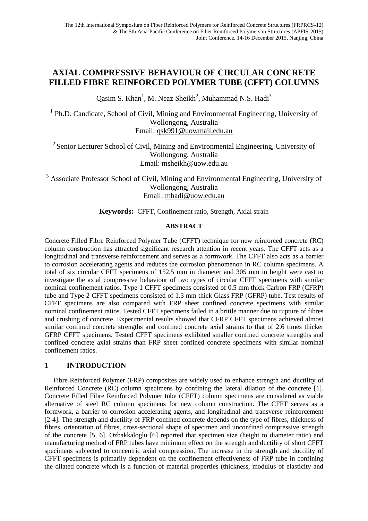# **AXIAL COMPRESSIVE BEHAVIOUR OF CIRCULAR CONCRETE FILLED FIBRE REINFORCED POLYMER TUBE (CFFT) COLUMNS**

Qasim S. Khan<sup>1</sup>, M. Neaz Sheikh<sup>2</sup>, Muhammad N.S. Hadi<sup>3</sup>

<sup>1</sup> Ph.D. Candidate, School of Civil, Mining and Environmental Engineering, University of Wollongong, Australia Email: qsk991@uowmail.edu.au

 $2$  Senior Lecturer School of Civil, Mining and Environmental Engineering, University of Wollongong, Australia Email: msheikh@uow.edu.au

<sup>3</sup> Associate Professor School of Civil, Mining and Environmental Engineering, University of Wollongong, Australia Email: [mhadi@uow.edu.au](mailto:mhadi@uow.edu.au)

**Keywords:** CFFT, Confinement ratio, Strength, Axial strain

# **ABSTRACT**

Concrete Filled Fibre Reinforced Polymer Tube (CFFT) technique for new reinforced concrete (RC) column construction has attracted significant research attention in recent years. The CFFT acts as a longitudinal and transverse reinforcement and serves as a formwork. The CFFT also acts as a barrier to corrosion accelerating agents and reduces the corrosion phenomenon in RC column specimens. A total of six circular CFFT specimens of 152.5 mm in diameter and 305 mm in height were cast to investigate the axial compressive behaviour of two types of circular CFFT specimens with similar nominal confinement ratios. Type-1 CFFT specimens consisted of 0.5 mm thick Carbon FRP (CFRP) tube and Type-2 CFFT specimens consisted of 1.3 mm thick Glass FRP (GFRP) tube. Test results of CFFT specimens are also compared with FRP sheet confined concrete specimens with similar nominal confinement ratios. Tested CFFT specimens failed in a brittle manner due to rupture of fibres and crushing of concrete. Experimental results showed that CFRP CFFT specimens achieved almost similar confined concrete strengths and confined concrete axial strains to that of 2.6 times thicker GFRP CFFT specimens. Tested CFFT specimens exhibited smaller confined concrete strengths and confined concrete axial strains than FRP sheet confined concrete specimens with similar nominal confinement ratios.

# **1 INTRODUCTION**

Fibre Reinforced Polymer (FRP) composites are widely used to enhance strength and ductility of Reinforced Concrete (RC) column specimens by confining the lateral dilation of the concrete [\[1\]](#page-7-0). Concrete Filled Fibre Reinforced Polymer tube (CFFT) column specimens are considered as viable alternative of steel RC column specimens for new column construction. The CFFT serves as a formwork, a barrier to corrosion accelerating agents, and longitudinal and transverse reinforcement [\[2-4\]](#page-7-1). The strength and ductility of FRP confined concrete depends on the type of fibres, thickness of fibres, orientation of fibres, cross-sectional shape of specimen and unconfined compressive strength of the concrete [\[5,](#page-7-2) [6\]](#page-7-3). Ozbakkaloglu [6] reported that specimen size (height to diameter ratio) and manufacturing method of FRP tubes have minimum effect on the strength and ductility of short CFFT specimens subjected to concentric axial compression. The increase in the strength and ductility of CFFT specimens is primarily dependent on the confinement effectiveness of FRP tube in confining the dilated concrete which is a function of material properties (thickness, modulus of elasticity and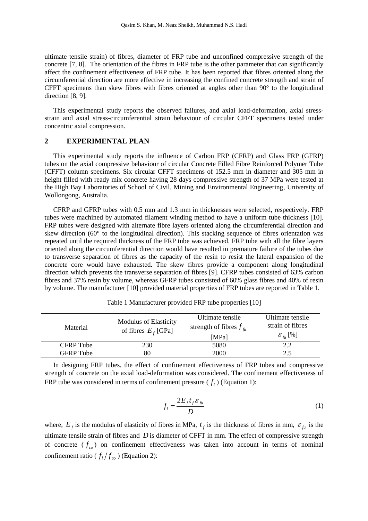ultimate tensile strain) of fibres, diameter of FRP tube and unconfined compressive strength of the concrete [\[7,](#page-7-4) [8\]](#page-7-5). The orientation of the fibres in FRP tube is the other parameter that can significantly affect the confinement effectiveness of FRP tube. It has been reported that fibres oriented along the circumferential direction are more effective in increasing the confined concrete strength and strain of CFFT specimens than skew fibres with fibres oriented at angles other than 90° to the longitudinal direction [\[8,](#page-7-5) [9\]](#page-7-6).

This experimental study reports the observed failures, and axial load-deformation, axial stressstrain and axial stress-circumferential strain behaviour of circular CFFT specimens tested under concentric axial compression.

#### **2 EXPERIMENTAL PLAN**

This experimental study reports the influence of Carbon FRP (CFRP) and Glass FRP (GFRP) tubes on the axial compressive behaviour of circular Concrete Filled Fibre Reinforced Polymer Tube (CFFT) column specimens. Six circular CFFT specimens of 152.5 mm in diameter and 305 mm in height filled with ready mix concrete having 28 days compressive strength of 37 MPa were tested at the High Bay Laboratories of School of Civil, Mining and Environmental Engineering, University of Wollongong, Australia.

CFRP and GFRP tubes with 0.5 mm and 1.3 mm in thicknesses were selected, respectively. FRP tubes were machined by automated filament winding method to have a uniform tube thickness [\[10\]](#page-7-7). FRP tubes were designed with alternate fibre layers oriented along the circumferential direction and skew direction (60° to the longitudinal direction). This stacking sequence of fibres orientation was repeated until the required thickness of the FRP tube was achieved. FRP tube with all the fibre layers oriented along the circumferential direction would have resulted in premature failure of the tubes due to transverse separation of fibres as the capacity of the resin to resist the lateral expansion of the concrete core would have exhausted. The skew fibres provide a component along longitudinal direction which prevents the transverse separation of fibres [9]. CFRP tubes consisted of 63% carbon fibres and 37% resin by volume, whereas GFRP tubes consisted of 60% glass fibres and 40% of resin by volume. The manufacturer [\[10\]](#page-7-7) provided material properties of FRP tubes are reported in Table 1.

Table 1 Manufacturer provided FRP tube properties [\[10\]](#page-7-7)

| Material         | <b>Modulus of Elasticity</b><br>of fibres $E_f$ [GPa] | Ultimate tensile<br>strength of fibres $f_{f\mu}$<br>[MPa] | Ultimate tensile<br>strain of fibres<br>$\mathcal{E}_{\text{f}u}$ [%] |
|------------------|-------------------------------------------------------|------------------------------------------------------------|-----------------------------------------------------------------------|
| <b>CFRP</b> Tube | 230                                                   | 5080                                                       | 2.2                                                                   |
| <b>GFRP</b> Tube | 80                                                    | 2000                                                       | 2.5                                                                   |

In designing FRP tubes, the effect of confinement effectiveness of FRP tubes and compressive strength of concrete on the axial load-deformation was considered. The confinement effectiveness of FRP tube was considered in terms of confinement pressure  $(f_l)$  (Equation 1):

$$
f_l = \frac{2E_f t_f \varepsilon_{fu}}{D} \tag{1}
$$

where,  $E_f$  is the modulus of elasticity of fibres in MPa,  $t_f$  is the thickness of fibres in mm,  $\varepsilon_{f\mu}$  is the ultimate tensile strain of fibres and *D* is diameter of CFFT in mm. The effect of compressive strength of concrete  $(f_{co})$  on confinement effectiveness was taken into account in terms of nominal confinement ratio ( $f_l/f_{co}$ ) (Equation 2):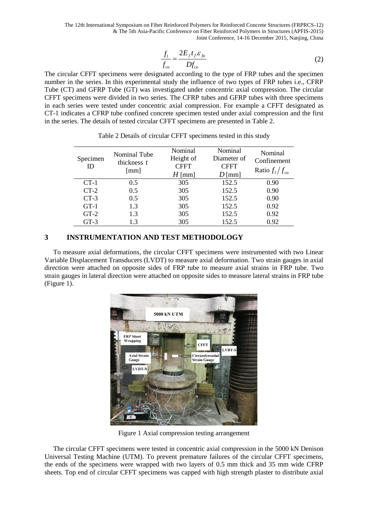The 12th International Symposium on Fiber Reinforced Polymers for Reinforced Concrete Structures (FRPRCS-12) & The 5th Asia-Pacific Conference on Fiber Reinforced Polymers in Structures (APFIS-2015) Joint Conference, 14-16 December 2015, Nanjing, China

$$
\frac{f_l}{f_{co}} = \frac{2E_f t_f \varepsilon_{fu}}{Df_{co}}
$$
\n(2)

The circular CFFT specimens were designated according to the type of FRP tubes and the specimen number in the series. In this experimental study the influence of two types of FRP tubes i.e., CFRP Tube (CT) and GFRP Tube (GT) was investigated under concentric axial compression. The circular CFFT specimens were divided in two series. The CFRP tubes and GFRP tubes with three specimens in each series were tested under concentric axial compression. For example a CFFT designated as CT-1 indicates a CFRP tube confined concrete specimen tested under axial compression and the first in the series. The details of tested circular CFFT specimens are presented in [Table 2.](#page-4-0)

<span id="page-4-0"></span>

|                | Nominal Tube                        | Nominal                  | Nominal                    | Nominal                           |  |
|----------------|-------------------------------------|--------------------------|----------------------------|-----------------------------------|--|
| Specimen<br>ID | thickness t<br>$\lceil$ mm $\rceil$ | Height of<br><b>CFFT</b> | Diameter of<br><b>CFFT</b> | Confinement<br>Ratio $f_i/f_{co}$ |  |
|                |                                     | H [mm]                   | $D$ [mm]                   |                                   |  |
| $CT-1$         | 0.5                                 | 305                      | 152.5                      | 0.90                              |  |
| $CT-2$         | 0.5                                 | 305                      | 152.5                      | 0.90                              |  |
| $CT-3$         | 0.5                                 | 305                      | 152.5                      | 0.90                              |  |
| $GT-1$         | 1.3                                 | 305                      | 152.5                      | 0.92                              |  |
| $GT-2$         | 1.3                                 | 305                      | 152.5                      | 0.92                              |  |
| $GT-3$         | 13                                  | 305                      | 152.5                      | 0.92                              |  |

Table 2 Details of circular CFFT specimens tested in this study

# **3 INSTRUMENTATION AND TEST METHODOLOGY**

To measure axial deformations, the circular CFFT specimens were instrumented with two Linear Variable Displacement Transducers (LVDT) to measure axial deformation. Two strain gauges in axial direction were attached on opposite sides of FRP tube to measure axial strains in FRP tube. Two strain gauges in lateral direction were attached on opposite sides to measure lateral strains in FRP tube [\(Figure 1\)](#page-4-1).



Figure 1 Axial compression testing arrangement

<span id="page-4-1"></span>The circular CFFT specimens were tested in concentric axial compression in the 5000 kN Denison Universal Testing Machine (UTM). To prevent premature failures of the circular CFFT specimens, the ends of the specimens were wrapped with two layers of 0.5 mm thick and 35 mm wide CFRP sheets. Top end of circular CFFT specimens was capped with high strength plaster to distribute axial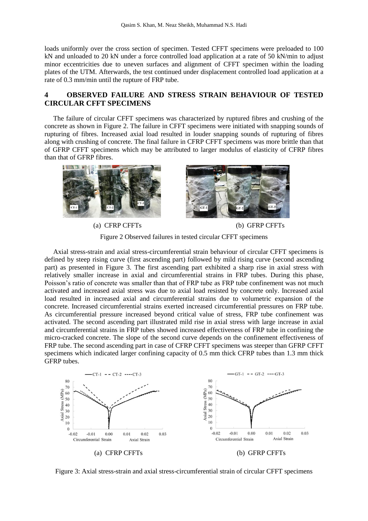loads uniformly over the cross section of specimen. Tested CFFT specimens were preloaded to 100 kN and unloaded to 20 kN under a force controlled load application at a rate of 50 kN/min to adjust minor eccentricities due to uneven surfaces and alignment of CFFT specimen within the loading plates of the UTM. Afterwards, the test continued under displacement controlled load application at a rate of 0.3 mm/min until the rupture of FRP tube.

# **4 OBSERVED FAILURE AND STRESS STRAIN BEHAVIOUR OF TESTED CIRCULAR CFFT SPECIMENS**

The failure of circular CFFT specimens was characterized by ruptured fibres and crushing of the concrete as shown in [Figure 2.](#page-5-0) The failure in CFFT specimens were initiated with snapping sounds of rupturing of fibres. Increased axial load resulted in louder snapping sounds of rupturing of fibres along with crushing of concrete. The final failure in CFRP CFFT specimens was more brittle than that of GFRP CFFT specimens which may be attributed to larger modulus of elasticity of CFRP fibres than that of GFRP fibres.



(a) CFRP CFFTs (b) GFRP CFFTs

Figure 2 Observed failures in tested circular CFFT specimens

<span id="page-5-0"></span>Axial stress-strain and axial stress-circumferential strain behaviour of circular CFFT specimens is defined by steep rising curve (first ascending part) followed by mild rising curve (second ascending part) as presented in [Figure 3.](#page-5-1) The first ascending part exhibited a sharp rise in axial stress with relatively smaller increase in axial and circumferential strains in FRP tubes. During this phase, Poisson's ratio of concrete was smaller than that of FRP tube as FRP tube confinement was not much activated and increased axial stress was due to axial load resisted by concrete only. Increased axial load resulted in increased axial and circumferential strains due to volumetric expansion of the concrete. Increased circumferential strains exerted increased circumferential pressures on FRP tube. As circumferential pressure increased beyond critical value of stress, FRP tube confinement was activated. The second ascending part illustrated mild rise in axial stress with large increase in axial and circumferential strains in FRP tubes showed increased effectiveness of FRP tube in confining the micro-cracked concrete. The slope of the second curve depends on the confinement effectiveness of FRP tube. The second ascending part in case of CFRP CFFT specimens was steeper than GFRP CFFT specimens which indicated larger confining capacity of 0.5 mm thick CFRP tubes than 1.3 mm thick GFRP tubes.



<span id="page-5-1"></span>Figure 3: Axial stress-strain and axial stress-circumferential strain of circular CFFT specimens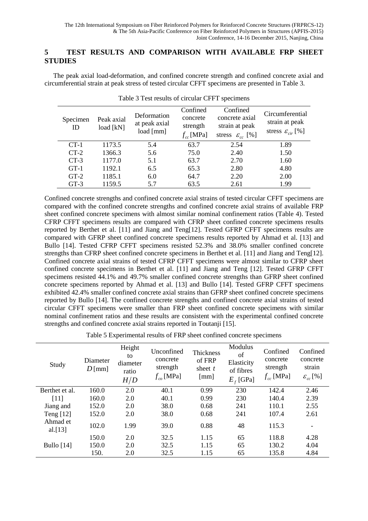# **5 TEST RESULTS AND COMPARISON WITH AVAILABLE FRP SHEET STUDIES**

The peak axial load-deformation, and confined concrete strength and confined concrete axial and circumferential strain at peak stress of tested circular CFFT specimens are presented in [Table 3.](#page-6-0)

<span id="page-6-0"></span>

|                |                         | Deformation   | Confined             | Confined                         | Circumferential                |
|----------------|-------------------------|---------------|----------------------|----------------------------------|--------------------------------|
| Specimen<br>ID | Peak axial<br>load [kN] | at peak axial | concrete<br>strength | concrete axial<br>strain at peak | strain at peak                 |
|                |                         | $load$ [mm]   | $f_{cc}$ [MPa]       | stress $\varepsilon_{cc}$ [%]    | stress $\varepsilon_{cir}$ [%] |
| $CT-1$         | 1173.5                  | 5.4           | 63.7                 | 2.54                             | 1.89                           |
| $CT-2$         | 1366.3                  | 5.6           | 75.0                 | 2.40                             | 1.50                           |
| $CT-3$         | 1177.0                  | 5.1           | 63.7                 | 2.70                             | 1.60                           |
| $GT-1$         | 1192.1                  | 6.5           | 65.3                 | 2.80                             | 4.80                           |
| $GT-2$         | 1185.1                  | 6.0           | 64.7                 | 2.20                             | 2.00                           |
| $GT-3$         | 1159.5                  | 5.7           | 63.5                 | 2.61                             | 1.99                           |

| Table 3 Test results of circular CFFT specimens |
|-------------------------------------------------|
|-------------------------------------------------|

Confined concrete strengths and confined concrete axial strains of tested circular CFFT specimens are compared with the confined concrete strengths and confined concrete axial strains of available FRP sheet confined concrete specimens with almost similar nominal confinement ratios (Table 4). Tested CFRP CFFT specimens results are compared with CFRP sheet confined concrete specimens results reported by Berthet et al. [\[11\]](#page-7-8) and Jiang and Teng[\[12\]](#page-7-9). Tested GFRP CFFT specimens results are compared with GFRP sheet confined concrete specimens results reported by Ahmad et al. [\[13\]](#page-7-10) and Bullo [\[14\]](#page-7-11). Tested CFRP CFFT specimens resisted 52.3% and 38.0% smaller confined concrete strengths than CFRP sheet confined concrete specimens in Berthet et al. [\[11\]](#page-7-8) and Jiang and Teng[\[12\]](#page-7-9). Confined concrete axial strains of tested CFRP CFFT specimens were almost similar to CFRP sheet confined concrete specimens in Berthet et al. [\[11\]](#page-7-8) and Jiang and Teng [\[12\]](#page-7-9). Tested GFRP CFFT specimens resisted 44.1% and 49.7% smaller confined concrete strengths than GFRP sheet confined concrete specimens reported by Ahmad et al. [\[13\]](#page-7-10) and Bullo [\[14\]](#page-7-11). Tested GFRP CFFT specimens exhibited 42.4% smaller confined concrete axial strains than GFRP sheet confined concrete specimens reported by Bullo [\[14\]](#page-7-11). The confined concrete strengths and confined concrete axial strains of tested circular CFFT specimens were smaller than FRP sheet confined concrete specimens with similar nominal confinement ratios and these results are consistent with the experimental confined concrete strengths and confined concrete axial strains reported in Toutanji [\[15\]](#page-7-12).

Table 5 Experimental results of FRP sheet confined concrete specimens

| Study                  | Diameter<br>$D$ [mm] | Height<br>to<br>diameter<br>ratio<br>H/D | Unconfined<br>concrete<br>strength<br>$f_{co}$ [MPa] | Thickness<br>of FRP<br>sheet $t$<br>$\lceil$ mm $\rceil$ | Modulus<br>of<br>Elasticity<br>of fibres<br>$E_f$ [GPa] | Confined<br>concrete<br>strength<br>$f_{cc}$ [MPa] | Confined<br>concrete<br>strain<br>$\varepsilon_{cc}$ [%] |
|------------------------|----------------------|------------------------------------------|------------------------------------------------------|----------------------------------------------------------|---------------------------------------------------------|----------------------------------------------------|----------------------------------------------------------|
| Berthet et al.         | 160.0                | 2.0                                      | 40.1                                                 | 0.99                                                     | 230                                                     | 142.4                                              | 2.46                                                     |
| [11]                   | 160.0                | 2.0                                      | 40.1                                                 | 0.99                                                     | 230                                                     | 140.4                                              | 2.39                                                     |
| Jiang and              | 152.0                | 2.0                                      | 38.0                                                 | 0.68                                                     | 241                                                     | 110.1                                              | 2.55                                                     |
| Teng $[12]$            | 152.0                | 2.0                                      | 38.0                                                 | 0.68                                                     | 241                                                     | 107.4                                              | 2.61                                                     |
| Ahmad et<br>al. $[13]$ | 102.0                | 1.99                                     | 39.0                                                 | 0.88                                                     | 48                                                      | 115.3                                              |                                                          |
|                        | 150.0                | 2.0                                      | 32.5                                                 | 1.15                                                     | 65                                                      | 118.8                                              | 4.28                                                     |
| Bullo $[14]$           | 150.0                | 2.0                                      | 32.5                                                 | 1.15                                                     | 65                                                      | 130.2                                              | 4.04                                                     |
|                        | 150.                 | 2.0                                      | 32.5                                                 | 1.15                                                     | 65                                                      | 135.8                                              | 4.84                                                     |